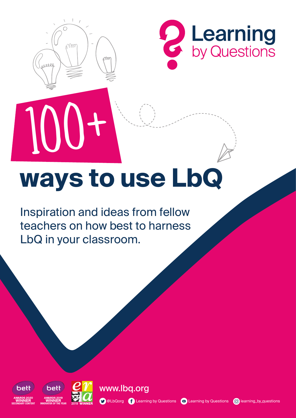

10



# **ways to use LbQ**

Inspiration and ideas from fellow teachers on how best to harness LbQ in your classroom.





www.lbq.org

**O** @LbQorg **C** Learning by Questions **D** Learning by Questions **C** learning by questions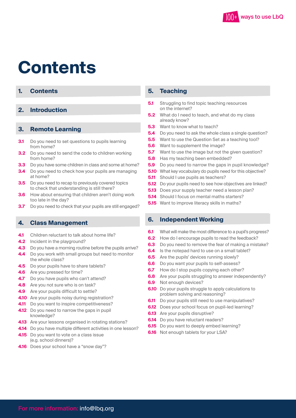

### **Contents**

#### **1. Contents**

#### **2. Introduction**

#### **3. Remote Learning**

- **3.1** Do you need to set questions to pupils learning from home?
- **3.2** Do you need to send the code to children working from home?
- **3.3** Do you have some children in class and some at home?
- **3.4** Do you need to check how your pupils are managing at home?
- **3.5** Do you need to recap to previously covered topics to check that understanding is still there?
- **3.6** How about ensuring that children aren't doing work too late in the day?
- **3.7** [Do you need to check that your pupils are still engaged?](#page-4-0)

#### **4. Class Management**

- **4.1** Children reluctant to talk about home life?
- **4.2** Incident in the playground?
- **4.3** [Do you have a morning routine before the pupils arrive?](#page-5-0)
- **4.4** Do you work with small groups but need to monitor the whole class?
- **4.5** Do your pupils have to share tablets?
- **4.6** Are you pressed for time?
- **4.7** Do you have pupils who can't attend?
- **4.8** Are you not sure who is on task?
- **4.9** Are your pupils difficult to settle?
- **4.10** Are your pupils noisy during registration?
- **4.11** Do you want to inspire competitiveness?
- **4.12** Do you need to narrow the gaps in pupil knowledge?
- **4.13** Are your lessons organised in rotating stations?
- **4.14** [Do you have multiple different activities in one lesson?](#page-6-0)
- **4.15** Do you want to vote on a class issue (e.g. school dinners)?
- **4.16** Does your school have a "snow day"?

#### **5. Teaching**

- **5.1** Struggling to find topic teaching resources on the internet?
- **5.2** What do I need to teach, and what do my class already know?
- **5.3** Want to know what to teach?
- **5.4** [Do you need to ask the whole class a single question?](#page-7-0)
- **5.5** Want to use the Question Set as a teaching tool?
- **5.6** Want to supplement the image?
- **5.7** Want to use the image but not the given question?
- **5.8** Has my teaching been embedded?
- **5.9** [Do you need to narrow the gaps in pupil knowledge?](#page-8-0)
- **5.10** What key vocabulary do pupils need for this objective?
- **5.11** Should I use pupils as teachers?
- **5.12** Do your pupils need to see how objectives are linked?
- **5.13** Does your supply teacher need a lesson plan?
- **5.14** Should I focus on mental maths starters?
- **5.15** Want to improve literacy skills in maths?

#### **6. Independent Working**

- **6.1** [What will make the most difference to a pupil's progress?](#page-9-0)
- **6.2** How do I encourage pupils to read the feedback?
- **6.3** Do you need to remove the fear of making a mistake?
- **6.4** Is the notepad hard to use on a small tablet?
- **6.5** Are the pupils' devices running slowly?
- **6.6** Do you want your pupils to self-assess?
- **6.7** How do I stop pupils copying each other?
- **6.8** Are your pupils struggling to answer independently?
- **6.9** Not enough devices?
- **6.10** Do your pupils struggle to apply calculations to problem solving and reasoning?
- **6.11** [Do your pupils still need to use manipulatives?](#page-10-0)
- **6.12** Does your school focus on pupil-led learning?
- **6.13** Are your pupils disruptive?
- **6.14** Do you have reluctant readers?
- **6.15** Do you want to deeply embed learning?
- **6.16** Not enough tablets for your LSA?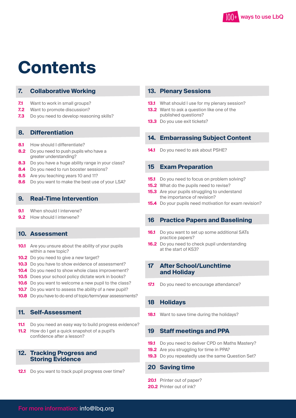

### **Contents**

#### **7. [Collaborative Working](#page-10-0)**

- **7.1** Want to work in small groups?
- **7.2** Want to promote discussion?
- **7.3** Do you need to develop reasoning skills?

#### **8. Differentiation**

- **8.1** How should I differentiate?
- **8.2** Do you need to push pupils who have a greater understanding?
- **8.3** Do you have a huge ability range in your class?
- **8.4** Do you need to run booster sessions?
- **8.5** Are you teaching years 10 and 11?
- **8.6** [Do you want to make the best use of your LSA?](#page-11-0)

#### **9. [Real-Time Intervention](#page-12-0)**

- **9.1** When should I intervene?
- **9.2** How should I intervene?

#### **10. Assessment**

- **10.1** Are you unsure about the ability of your pupils within a new topic?
- **10.2** Do you need to give a new target?
- **10.3** Do you have to show evidence of assessment?
- **10.4** Do you need to show whole class improvement?
- **10.5** Does your school policy dictate work in books?
- **10.6** Do you want to welcome a new pupil to the class?
- **10.7** Do you want to assess the ability of a new pupil?
- **10.8** [Do you have to do end of topic/term/year assessments?](#page-13-0)

#### **11. Self-Assessment**

- **11.1** [Do you need an easy way to build progress evidence?](#page-14-0)
- **11.2** How do I get a quick snapshot of a pupil's confidence after a lesson?

#### **12. Tracking Progress and Storing Evidence**

**12.1** [Do you want to track pupil progress over time?](#page-14-0)

#### **13. Plenary Sessions**

- **13.1** [What should I use for my plenary session?](#page-15-0)
- **13.2** Want to ask a question like one of the published questions?
- **13.3** Do you use exit tickets?

#### **14. [Embarrassing Subject Content](#page-15-0)**

**14.1** Do you need to ask about PSHE?

#### **15 Exam Preparation**

- **15.1** Do you need to focus on problem solving?
- **15.2** What do the pupils need to revise?
- **15.3** Are your pupils struggling to understand the importance of revision?
- **15.4** [Do your pupils need motivation for exam revision?](#page-16-0)

#### **[16 Practice Papers and Baselining](#page-17-0)**

- **16.1** Do you want to set up some additional SATs practice papers?
- **16.2** Do you need to check pupil understanding at the start of KS3?

#### **[17 After School/Lunchtime](#page-17-0) and Holiday**

**17.1** Do you need to encourage attendance?

#### **18 Holidays**

**18.1** [Want to save time during the holidays?](#page-18-0)

#### **[19 Staff meetings and PPA](#page-18-0)**

- **19.1** Do you need to deliver CPD on Maths Mastery?
- **19.2** Are you struggling for time in PPA?
- **19.3** Do you repeatedly use the same Question Set?

#### **[20 Saving time](#page-18-0)**

- **20.1** Printer out of paper?
- **20.2** Printer out of ink?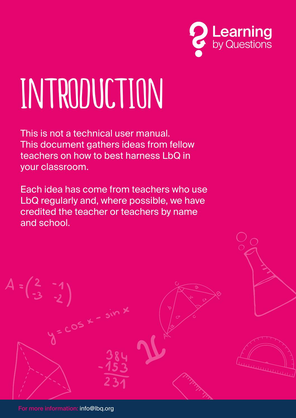

# INTRODUCTION

This is not a technical user manual. This document gathers ideas from fellow teachers on how to best harness LbQ in your classroom.

Each idea has come from teachers who use LbQ regularly and, where possible, we have credited the teacher or teachers by name and school.



For more information: info@lbq.org

 $.05$   $*$ 

 $A = \begin{pmatrix} 2 & -1 \\ -3 & -1 \end{pmatrix}$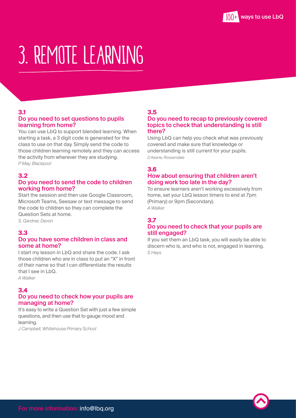### <span id="page-4-0"></span>3. REMOTE LEARNING

#### **3.1**  Do you need to set questions to pupils learning from home?

You can use LbQ to support blended learning. When starting a task, a 3 digit code is generated for the class to use on that day. Simply send the code to those children learning remotely and they can access the activity from wherever they are studying. *P May, Blackpool*

#### **3.2**

#### Do you need to send the code to children working from home?

Start the session and then use Google Classroom, Microsoft Teams, Seesaw or text message to send the code to children so they can complete the Question Sets at home.

*S. Gardner, Devon*

#### **3.3**

#### Do you have some children in class and some at home?

I start my lesson in LbQ and share the code. I ask those children who are in class to put an "X" in front of their name so that I can differentiate the results that I see in LbQ.

#### *A Walker*

#### **3.4**

#### Do you need to check how your pupils are managing at home?

It's easy to write a Question Set with just a few simple questions, and then use that to gauge mood and learning.

*J Campbell, Whitehouse Primary School*

#### **3.5**

#### Do you need to recap to previously covered topics to check that understanding is still there?

Using LbQ can help you check what was previously covered and make sure that knowledge or understanding is still current for your pupils. *D Keane, Rossendale*

#### **3.6**

#### How about ensuring that children aren't doing work too late in the day?

To ensure learners aren't working excessively from home, set your LbQ lesson timers to end at 7pm (Primary) or 9pm (Secondary). *A Walker*

#### **3.7**

#### Do you need to check that your pupils are still engaged?

If you set them an LbQ task, you will easily be able to discern who is, and who is not, engaged in learning. *S Heys*

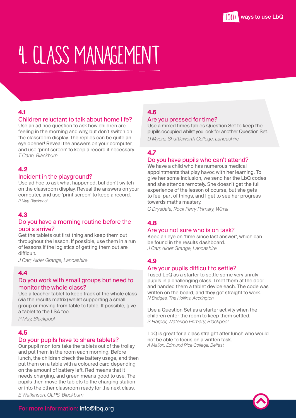### <span id="page-5-0"></span>4. CLASS MANAGEMENT

#### **4.1**

#### Children reluctant to talk about home life?

Use an ad hoc question to ask how children are feeling in the morning and why, but don't switch on the classroom display. The replies can be quite an eye opener! Reveal the answers on your computer, and use 'print screen' to keep a record if necessary. *T Cann, Blackburn*

#### **4.2**

#### Incident in the playground?

Use ad hoc to ask what happened, but don't switch on the classroom display. Reveal the answers on your computer, and use 'print screen' to keep a record. *P May, Blackpool*

#### **4.3**

#### Do you have a morning routine before the pupils arrive?

Get the tablets out first thing and keep them out throughout the lesson. If possible, use them in a run of lessons if the logistics of getting them out are difficult.

*J Carr, Alder Grange, Lancashire*

#### **4.4**

#### Do you work with small groups but need to monitor the whole class?

Use a teacher tablet to keep track of the whole class (via the results matrix) whilst supporting a small group or moving from table to table. If possible, give a tablet to the LSA too.

*P May, Blackpool*

#### **4.5**

#### Do your pupils have to share tablets?

Our pupil monitors take the tablets out of the trolley and put them in the room each morning. Before lunch, the children check the battery usage, and then put them on a table with a coloured card depending on the amount of battery left. Red means that it needs charging, and green means good to use. The pupils then move the tablets to the charging station or into the other classroom ready for the next class. *E Watkinson, OLPS, Blackburn* 

#### **4.6**

#### Are you pressed for time?

Use a mixed times tables Question Set to keep the pupils occupied whilst you look for another Question Set. *D Myers, Shuttleworth College, Lancashire*

#### **4.7**

#### Do you have pupils who can't attend?

We have a child who has numerous medical appointments that play havoc with her learning. To give her some inclusion, we send her the LbQ codes and she attends remotely. She doesn't get the full experience of the lesson of course, but she gets to feel part of things, and I get to see her progress towards maths mastery.

*C Drysdale, Rock Ferry Primary, Wirral*

#### **4.8**

#### Are you not sure who is on task?

Keep an eye on 'time since last answer', which can be found in the results dashboard. *J Carr, Alder Grange, Lancashire*

#### **4.9**

#### Are your pupils difficult to settle?

I used LbQ as a starter to settle some very unruly pupils in a challenging class. I met them at the door and handed them a tablet device each. The code was written on the board, and they got straight to work. *N Bridges, The Hollins, Accrington*

Use a Question Set as a starter activity when the children enter the room to keep them settled. *S Harper, Waterloo Primary, Blackpool*

LbQ is great for a class straight after lunch who would not be able to focus on a written task. *A Mallon, Edmund Rice College, Belfast*

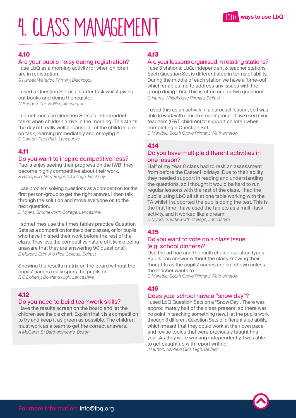# <span id="page-6-0"></span>4. CLASS MANAGEMENT



#### **4.10**

#### Are your pupils noisy during registration?

I use LbQ as a morning activity for when children are in registration. *S Harper, Waterloo Primary, Blackpool*

I used a Question Set as a starter task whilst giving out books and doing the register. *N Bridges, The Hollins, Accrington*

I sometimes use Question Sets as independent tasks when children arrive in the morning. This starts the day off really well because all of the children are on task, learning immediately and enjoying it. *C Carlton, Peel Park, Lancashire*

#### **4.11**

#### Do you want to inspire competitiveness?

Pupils enjoy seeing their progress on the IWB; they become highly competitive about their work. *R Babapulle, New Regents College, Hackney*

I use problem solving questions as a competition for the first person/group to get the right answer. I then talk through the solution and move everyone on to the next question.

*D Myers, Shuttleworth College, Lancashire*

I sometimes use the times tables practice Question Sets as a competition for the older classes, or for pupils who have finished their work before the rest of the class. They love the competitive nature of it (while being unaware that they are answering 90 questions!). *E Murphy, Edmund Rice College, Belfast*

Showing the results matrix on the board without the pupils' names really spurs the pupils on. *R O'Doherty, Bowland High, Lancashire*

#### **4.12**

#### Do you need to build teamwork skills?

Have the results screen on the board and let the children see the pie chart. Explain that it is a competition to try and keep it as green as possible. The children must work as a team to get the correct answers. *A McCann, St Bartholomew's, Bolton*

#### **4.13**

#### Are your lessons organised in rotating stations?

I use 3 stations: LbQ, independent & teacher stations. Each Question Set is differentiated in terms of ability. During the middle of each station we have a 'time-out', which enables me to address any issues with the group doing LbQ. This is often one or two questions. *G Harris, Whitehouse Primary, Belfast*

I used this as an activity in a carousel lesson, so I was able to work with a much smaller group. I have used mini teachers (G&T children) to support children when completing a Question Set.

*C Marable, South Grove Primary, Walthamstow*

#### **4.14**

#### Do you have multiple different activities in one lesson?

Half of my Year 8 class had to resit an assessment from before the Easter Holidays. Due to their ability, they needed support in reading and understanding the questions, so I thought it would be hard to run regular lessons with the rest of the class. I had the pupils using LbQ all sit at one table working with the TA whilst I supported the pupils doing the test. This is the first time I have used the tablets as a multi-task activity, and it worked like a dream! *D Myers, Shuttleworth College, Lancashire*

#### **4.15**

#### Do you want to vote on a class issue (e.g. school dinners)?

Use the ad hoc and the multi choice question types. Pupils can answer without the class knowing their thoughts as the pupils' names are not shown unless the teacher wants to.

*C Marable, South Grove Primary, Walthamstow*

#### **4.16**

#### Does your school have a "snow day"?

I used LbQ Question Sets on a "Snow Day". There was approximately half of the class present, so there was no point in teaching something new. I let the pupils work through 3 different Question Sets of differentiated ability, which meant that they could work at their own pace and revise topics that were previously taught this year. As they were working independently, I was able to get caught up with report writing! *J Hutton, Ashfield Girls High, Belfast*

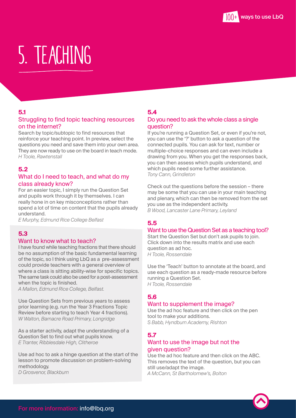### <span id="page-7-0"></span>5. TEACHING

#### **5.1**

#### Struggling to find topic teaching resources on the internet?

Search by topic/subtopic to find resources that reinforce your teaching point. In preview, select the questions you need and save them into your own area. They are now ready to use on the board in teach mode. *H Toole, Rawtenstall*

#### **5.2**

#### What do I need to teach, and what do my class already know?

For an easier topic, I simply run the Question Set and pupils work through it by themselves. I can really hone in on key misconceptions rather than spend a lot of time on content that the pupils already understand.

*E Murphy, Edmund Rice College Belfast*

#### **5.3**

#### Want to know what to teach?

I have found while teaching fractions that there should be no assumption of the basic fundamental learning of the topic, so I think using LbQ as a pre-assessment could provide teachers with a general overview of where a class is sitting ability-wise for specific topics. The same task could also be used for a post-assessment when the topic is finished.

*A Mallon, Edmund Rice College, Belfast.*

Use Question Sets from previous years to assess prior learning (e.g. run the Year 3 Fractions Topic Review before starting to teach Year 4 fractions). *W Walton, Barnacre Road Primary, Longridge*

As a starter activity, adapt the understanding of a Question Set to find out what pupils know. *E Tranter, Ribblesdale High, Clitheroe*

Use ad hoc to ask a hinge question at the start of the lesson to promote discussion on problem-solving methodology. *D Grosvenor, Blackburn*

#### **5.4**

#### Do you need to ask the whole class a single question?

If you're running a Question Set, or even if you're not, you can use the '?' button to ask a question of the connected pupils. You can ask for text, number or multiple-choice responses and can even include a drawing from you. When you get the responses back, you can then assess which pupils understand, and which pupils need some further assistance. *Tony Cann, Grindleton*

Check out the questions before the session – there may be some that you can use in your main teaching and plenary, which can then be removed from the set you use as the independent activity. *B Wood, Lancaster Lane Primary, Leyland*

#### **5.5**

#### Want to use the Question Set as a teaching tool?

Start the Question Set but don't ask pupils to join. Click down into the results matrix and use each question as ad hoc. *H Toole, Rossendale*

Use the 'Teach' button to annotate at the board, and use each question as a ready-made resource before running a Question Set. *H Toole, Rossendale*

#### **5.6**

#### Want to supplement the image?

Use the ad hoc feature and then click on the pen tool to make your additions. *S Babb, Hyndburn Academy, Rishton*

#### **5.7**

#### Want to use the image but not the given question?

Use the ad hoc feature and then click on the ABC. This removes the text of the question, but you can still use/adapt the image.

*A McCann, St Bartholomew's, Bolton*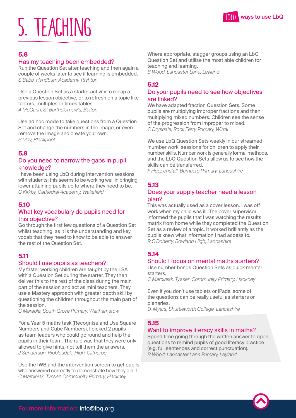# <span id="page-8-0"></span> $\sum_{100^+}$  ways to use LbQ

#### **5.8**

#### Has my teaching been embedded?

Run the Question Set after teaching and then again a couple of weeks later to see if learning is embedded. *S Babb, Hyndburn Academy, Rishton*

Use a Question Set as a starter activity to recap a previous lesson objective, or to refresh on a topic like factors, multiples or times tables. *A McCann, St Bartholomew's, Bolton*

Use ad hoc mode to take questions from a Question Set and change the numbers in the image, or even remove the image and create your own. *P May, Blackpool*

#### **5.9**

#### Do you need to narrow the gaps in pupil knowledge?

I have been using LbQ during intervention sessions with students; this seems to be working well in bringing lower attaining pupils up to where they need to be. *C Kirkby, Cathedral Academy, Wakefield*

#### **5.10**

#### What key vocabulary do pupils need for this objective?

Go through the first few questions of a Question Set whilst teaching, as it is the understanding and key vocab that they need to know to be able to answer the rest of the Question Set.

#### **5.11**

#### Should I use pupils as teachers?

My faster working children are taught by the LSA with a Question Set during the starter. They then deliver this to the rest of the class during the main part of the session and act as mini teachers. They use a Mastery approach with greater depth skill by questioning the children throughout the main part of the session.

*C Marable, South Grove Primary, Walthamstow*

For a Year 5 maths task (Recognise and Use Square Numbers and Cube Numbers), I picked 2 pupils as team leaders who could go round and help the pupils in their team. The rule was that they were only allowed to give hints, not tell them the answers. *J Sanderson, Ribblesdale High, Clitheroe*

Use the IWB and the intervention screen to get pupils who answered correctly to demonstrate how they did it. *C Marciniak, Tyssen Community Primary, Hackney*

Where appropriate, stagger groups using an LbQ Question Set and utilise the most able children for teaching and learning. *B Wood, Lancaster Lane, Leyland*

#### **5.12**

#### Do your pupils need to see how objectives are linked?

We have adapted fraction Question Sets. Some pupils are multiplying improper fractions and then multiplying mixed numbers. Children see the sense of the progression from improper to mixed. *C Drysdale, Rock Ferry Primary, Wirral*

We use LbQ Question Sets weekly in our streamed 'number work' sessions for children to apply their number skills. Number work is generally formal methods, and the LbQ Question Sets allow us to see how the skills can be transferred.

*F Heppenstall, Barnacre Primary, Lancashire*

#### **5.13**

#### Does your supply teacher need a lesson plan?

This was actually used as a cover lesson. I was off work when my child was ill. The cover supervisor informed the pupils that I was watching the results matrix from home while they completed the Question Set as a review of a topic. It worked brilliantly as the pupils knew what information I had access to. *R O'Doherty, Bowland High, Lancashire* 

#### **5.14**

#### Should I focus on mental maths starters?

Use number bonds Question Sets as quick mental starters.

*C Marciniak, Tyssen Community Primary, Hackney*

Even if you don't use tablets or iPads, some of the questions can be really useful as starters or plenaries.

*D. Myers, Shuttleworth College, Lancashire*

#### **5.15**

#### Want to improve literacy skills in maths?

Spend time going through the written answer to open questions to remind pupils of good literacy practice (e.g. full sentences and correct punctuation). *B Wood, Lancaster Lane Primary, Leyland*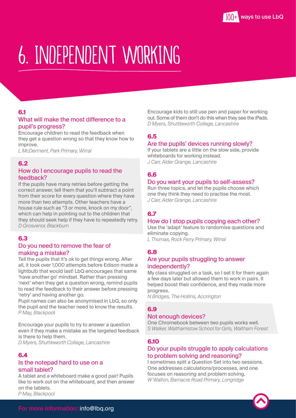### <span id="page-9-0"></span>6. INDEPENDENT WORKING

#### **6.1**

#### What will make the most difference to a pupil's progress?

Encourage children to read the feedback when they get a question wrong so that they know how to improve.

*L McDerment, Park Primary, Wirral*

#### **6.2**

#### How do I encourage pupils to read the feedback?

If the pupils have many retries before getting the correct answer, tell them that you'll subtract a point from their score for every question where they have more than two attempts. Other teachers have a house rule such as "3 or more, knock on my door", which can help in pointing out to the children that they should seek help if they have to repeatedly retry. *D Grosvenor, Blackburn*

#### **6.3**

#### Do you need to remove the fear of making a mistake?

Tell the pupils that it's ok to get things wrong. After all, it took over 1,000 attempts before Edison made a lightbulb that would last! LbQ encourages that same 'have another go' mindset. Rather than pressing 'next' when they get a question wrong, remind pupils to read the feedback to their answer before pressing 'retry' and having another go.

Pupil names can also be anonymised in LbQ, so only the pupil and the teacher need to know the results. *P May, Blackpoo*l

Encourage your pupils to try to answer a question even if they make a mistake as the targeted feedback is there to help them.

*D Myers, Shuttleworth College, Lancashire*

#### **6.4**

#### Is the notepad hard to use on a small tablet?

A tablet and a whiteboard make a good pair! Pupils like to work out on the whiteboard, and then answer on the tablets. *P May, Blackpool*

Encourage kids to still use pen and paper for working out. Some of them don't do this when they see the iPads. *D Myers, Shuttleworth College, Lancashire*

#### **6.5**

#### Are the pupils' devices running slowly?

If your tablets are a little on the slow side, provide whiteboards for working instead. *J Carr, Alder Grange, Lancashire*

#### **6.6**

#### Do you want your pupils to self-assess?

Run three topics, and let the pupils choose which one they think they need to practise the most. *J Carr, Alder Grange, Lancashire*

#### **6.7**

#### How do I stop pupils copying each other?

Use the 'adapt' feature to randomise questions and eliminate copying. *L Thomas, Rock Ferry Primary, Wirral*

#### **6.8**

#### Are your pupils struggling to answer independently?

My class struggled on a task, so I set it for them again a few days later but allowed them to work in pairs. It helped boost their confidence, and they made more progress.

*N Bridges, The Hollins, Accrington*

#### **6.9**

#### Not enough devices?

One Chromebook between two pupils works well. *S Walker, Walthamstow School for Girls, Waltham Forest*

#### **6.10**

#### Do your pupils struggle to apply calculations to problem solving and reasoning?

I sometimes split a Question Set into two sessions. One addresses calculations/processes, and one focuses on reasoning and problem solving. *W Walton, Barnacre Road Primary, Longridge*

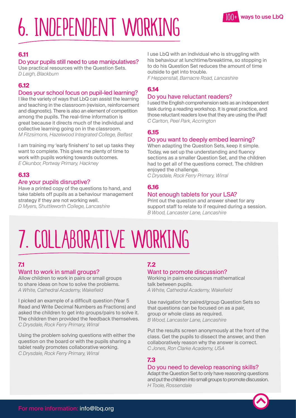# <span id="page-10-0"></span>6. INDEPENDENT WORKING

#### **6.11**

#### Do your pupils still need to use manipulatives?

Use practical resources with the Question Sets. *D Leigh, Blackburn*

#### **6.12**

#### Does your school focus on pupil-led learning?

I like the variety of ways that LbQ can assist the learning and teaching in the classroom (revision, reinforcement and diagnostic). There is also an element of competition among the pupils. The real-time information is great because it directs much of the individual and collective learning going on in the classroom. *M Fitzsimons, Hazelwood Integrated College, Belfast*

I am training my 'early finishers' to set up tasks they want to complete. This gives me plenty of time to work with pupils working towards outcomes. *E Okunbor, Portway Primary, Hackney*

#### **6.13**

#### Are your pupils disruptive?

Have a printed copy of the questions to hand, and take tablets off pupils as a behaviour management strategy if they are not working well. *D Myers, Shuttleworth College, Lancashire*

I use LbQ with an individual who is struggling with his behaviour at lunchtime/breaktime, so stopping in to do his Question Set reduces the amount of time outside to get into trouble.

*F Heppenstall, Barnacre Road, Lancashire*

#### **6.14**

#### Do you have reluctant readers?

I used the English comprehension sets as an independent task during a reading workshop. It is great practice, and those reluctant readers love that they are using the iPad! *C Carlton, Peel Park, Accrington*

#### **6.15**

#### Do you want to deeply embed learning?

When adapting the Question Sets, keep it simple. Today, we set up the understanding and fluency sections as a smaller Question Set, and the children had to get all of the questions correct. The children enjoyed the challenge.

*C Drysdale, Rock Ferry Primary, Wirral*

#### **6.16**

#### Not enough tablets for your LSA?

Print out the question and answer sheet for any support staff to relate to if required during a session. *B Wood, Lancaster Lane, Lancashire*

### 7. COLLABORATIVE WORKING

#### **7.1**

#### Want to work in small groups?

Allow children to work in pairs or small groups to share ideas on how to solve the problems. *A White, Cathedral Academy, Wakefield*

I picked an example of a difficult question (Year 5 Read and Write Decimal Numbers as Fractions) and asked the children to get into groups/pairs to solve it. The children then provided the feedback themselves. *C Drysdale, Rock Ferry Primary, Wirral*

Using the problem solving questions with either the question on the board or with the pupils sharing a tablet really promotes collaborative working. *C Drysdale, Rock Ferry Primary, Wirral*

#### **7.2**

#### Want to promote discussion?

Working in pairs encourages mathematical talk between pupils. *A White, Cathedral Academy, Wakefield*

Use navigation for paired/group Question Sets so that questions can be focused on as a pair, group or whole class as required. *B Wood, Lancaster Lane, Lancashire*

Put the results screen anonymously at the front of the class. Get the pupils to dissect the answer, and then collaboratively reason why the answer is correct. *C Jones, Ron Clarke Academy, USA*

#### **7.3**

#### Do you need to develop reasoning skills?

Adapt the Question Set to only have reasoning questions and put the children into small groups to promote discussion. *H Toole, Rossendale*

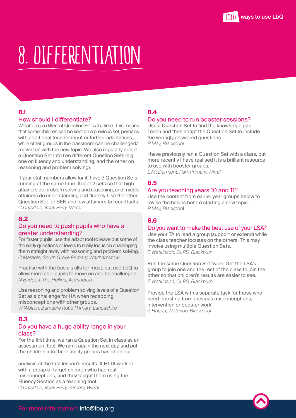### <span id="page-11-0"></span>8. DIFFERENTIATION

#### **8.1**

#### How should I differentiate?

We often run different Question Sets at a time. This means that some children can be kept on a previous set, perhaps with additional teacher input or further adaptations, while other groups in the classroom can be challenged/ moved on with the new topic. We also regularly adapt a Question Set into two different Question Sets (e.g. one on fluency and understanding, and the other on reasoning and problem solving).

If your staff numbers allow for it, have 3 Question Sets running at the same time. Adapt 2 sets so that high attainers do problem solving and reasoning, and middle attainers do understanding and fluency. Use the other Question Set for SEN and low attainers to recall facts. *C Drysdale, Rock Ferry, Wirral*

#### **8.2**

#### Do you need to push pupils who have a greater understanding?

For faster pupils, use the adapt tool to leave out some of the early questions or levels to really focus on challenging them straight away with reasoning and problem solving. *C Marable, South Grove Primary, Walthamstow*

Practise with the basic skills for most, but use LbQ to allow more able pupils to move on and be challenged. *N Bridges, The Hollins, Accrington*

Use reasoning and problem solving levels of a Question Set as a challenge for HA when recapping misconceptions with other groups. *W Walton, Barnacre Road Primary, Lancashire*

#### **8.3**

#### Do you have a huge ability range in your class?

For the first time, we ran a Question Set in class as an assessment tool. We ran it again the next day, and put the children into three ability groups based on our

analysis of the first lesson's results. A HLTA worked with a group of target children who had real misconceptions, and they taught them using the Fluency Section as a teaching tool. *C Drysdale, Rock Ferry Primary, Wirral*

#### **8.4**

#### Do you need to run booster sessions?

Use a Question Set to find the knowledge gap. Teach and then adapt the Question Set to include the wrongly answered questions. *P May, Blackpool*

I have previously ran a Question Set with a class, but more recently I have realised it is a brilliant resource to use with booster groups.

*L McDerment, Park Primary, Wirral*

#### **8.5**

#### Are you teaching years 10 and 11?

Use the content from earlier year groups below to revise the basics before starting a new topic. *P May, Blackpoo*l

#### **8.6**

#### Do you want to make the best use of your LSA?

Use your TA to lead a group (support or extend) while the class teacher focuses on the others. This may involve using multiple Question Sets. *E Watkinson, OLPS, Blackburn*

Run the same Question Set twice. Get the LSA's group to join one and the rest of the class to join the other so that children's results are easier to see. *E Watkinson, OLPS, Blackburn*

Provide the LSA with a separate task for those who need boosting from previous misconceptions, intervention or booster work. *S Harper, Waterloo, Blackpool*

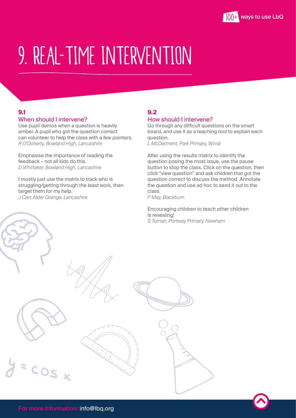### <span id="page-12-0"></span>9. REAL-TIME INTERVENTION

### **9.1**

#### When should I intervene?

Use pupil demos when a question is heavily amber. A pupil who got the question correct can volunteer to help the class with a few pointers. *R O'Doherty, Bowland High, Lancashire*

Emphasise the importance of reading the feedback – not all kids do this. *D Whittaker, Bowland High, Lancashire*

I mostly just use the matrix to track who is struggling/getting through the least work, then target them for my help. *J Carr, Alder Grange, Lancashire*

#### **9.2**

#### How should I intervene?

Go through any difficult questions on the smart board, and use it as a teaching tool to explain each question.

*L McDerment, Park Primary, Wirral*

After using the results matrix to identify the question posing the most issue, use the pause button to stop the class. Click on the question, then click "view question" and ask children that got the question correct to discuss the method. Annotate the question and use ad hoc to send it out to the class.

*P May, Blackburn*

Encouraging children to teach other children is revealing! *S Toman, Portway Primary, Newham*

COS x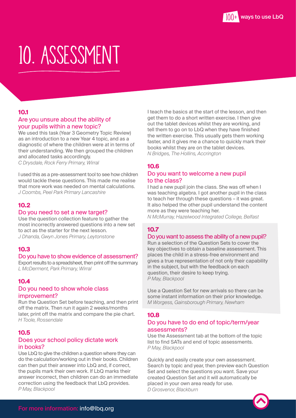### <span id="page-13-0"></span>10. ASSESSMENT

#### **10.1**

#### Are you unsure about the ability of your pupils within a new topic?

We used this task (Year 3 Geometry Topic Review) as an introduction to a new Year 4 topic, and as a diagnostic of where the children were at in terms of their understanding. We then grouped the children and allocated tasks accordingly. *C Drysdale, Rock Ferry Primary, Wirral*

I used this as a pre-assessment tool to see how children would tackle these questions. This made me realise that more work was needed on mental calculations. *J Coombs, Peel Park Primary Lancashire*

#### **10.2**

#### Do you need to set a new target?

Use the question collection feature to gather the most incorrectly answered questions into a new set to act as the starter for the next lesson. *J Dhanda, Gwyn Jones Primary, Leytonstone*

#### **10.3**

#### Do you have to show evidence of assessment?

Export results to a spreadsheet, then print off the summary. *L McDerment, Park Primary, Wirral*

#### **10.4**

#### Do you need to show whole class improvement?

Run the Question Set before teaching, and then print off the matrix. Then run it again 2 weeks/months later, print off the matrix and compare the pie chart. *H Toole, Rossendale*

#### **10.5**

#### Does your school policy dictate work in books?

Use LbQ to give the children a question where they can do the calculation/working out in their books. Children can then put their answer into LbQ and, if correct, the pupils mark their own work. If LbQ marks their answer incorrect, then children can do an immediate correction using the feedback that LbQ provides. *P May, Blackpool*

I teach the basics at the start of the lesson, and then get them to do a short written exercise. I then give out the tablet devices whilst they are working, and tell them to go on to LbQ when they have finished the written exercise. This usually gets them working faster, and it gives me a chance to quickly mark their books whilst they are on the tablet devices. *N Bridges, The Hollins, Accrington*

#### **10.6**

#### Do you want to welcome a new pupil to the class?

I had a new pupil join the class. She was off when I was teaching algebra. I got another pupil in the class to teach her through these questions – it was great. It also helped the other pupil understand the content more as they were teaching her.

*N McMurray, Hazelwood Integrated College, Belfast*

#### **10.7**

#### Do you want to assess the ability of a new pupil?

Run a selection of the Question Sets to cover the key objectives to obtain a baseline assessment. This places the child in a stress-free environment and gives a true representation of not only their capability in the subject, but with the feedback on each question, their desire to keep trying. *P May, Blackpool*

Use a Question Set for new arrivals so there can be some instant information on their prior knowledge. *M Worgess, Gainsborough Primary, Newham*

#### **10.8**

#### Do you have to do end of topic/term/year assessments?

Use the Assessment tab at the bottom of the topic list to find SATs and end of topic assessments. *P May, Blackpool*

Quickly and easily create your own assessment. Search by topic and year, then preview each Question Set and select the questions you want. Save your created Question Set and it will automatically be placed in your own area ready for use. *D Grosvenor, Blackburn*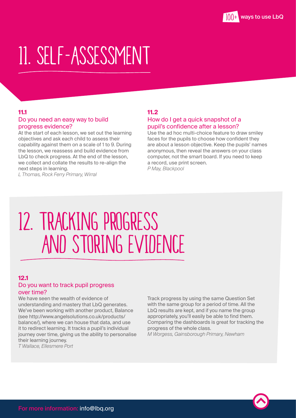### <span id="page-14-0"></span>11. SELF-ASSESSMENT

#### **11.1**

#### Do you need an easy way to build progress evidence?

At the start of each lesson, we set out the learning objectives and ask each child to assess their capability against them on a scale of 1 to 9. During the lesson, we reassess and build evidence from LbQ to check progress. At the end of the lesson, we collect and collate the results to re-align the next steps in learning.

*L Thomas, Rock Ferry Primary, Wirral*

#### **11.2**

#### How do I get a quick snapshot of a pupil's confidence after a lesson?

Use the ad hoc multi-choice feature to draw smiley faces for the pupils to choose how confident they are about a lesson objective. Keep the pupils' names anonymous, then reveal the answers on your class computer, not the smart board. If you need to keep a record, use print screen. *P May, Blackpool*

### 12. TRACKING PROGRESS AND STORING EVIDENCE

#### **12.1**

#### Do you want to track pupil progress over time?

We have seen the wealth of evidence of understanding and mastery that LbQ generates. We've been working with another product, Balance (see http://www.angelsolutions.co.uk/products/ balance/), where we can house that data, and use it to redirect learning. It tracks a pupil's individual journey over time, giving us the ability to personalise their learning journey. *T Wallace, Ellesmere Port*

Track progress by using the same Question Set with the same group for a period of time. All the LbQ results are kept, and if you name the group appropriately, you'll easily be able to find them. Comparing the dashboards is great for tracking the progress of the whole class. *M Worgess, Gainsborough Primary, Newham*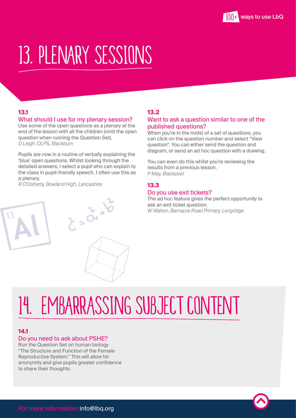### <span id="page-15-0"></span>13. PLENARY SESSIONS

#### **13.1**

#### What should I use for my plenary session?

Use some of the open questions as a plenary at the end of the lesson with all the children (omit the open question when running the Question Set). *D Leigh, OLPS, Blackburn*

Pupils are now in a routine of verbally explaining the 'blue' open questions. Whilst looking through the detailed answers, I select a pupil who can explain to the class in pupil-friendly speech. I often use this as a plenary.

 $Z = \frac{2}{x^{2}}$ 

*R O'Doherty, Bowland High, Lancashire*

#### **13.2**

#### Want to ask a question similar to one of the published questions?

When you're in the midst of a set of questions, you can click on the question number and select "View question". You can either send the question and diagram, or send an ad hoc question with a drawing.

You can even do this whilst you're reviewing the results from a previous lesson. *P May, Blackpool*

#### **13.3**

#### Do you use exit tickets?

The ad hoc feature gives the perfect opportunity to ask an exit ticket question. *W Walton, Barnacre Road Primary, Longridge*

### 14. EMBARRASSING SUBJECT CONTENT

#### **14.1**

#### Do you need to ask about PSHE?

Run the Question Set on human biology "The Structure and Function of the Female Reproductive System." This will allow for anonymity and give pupils greater confidence to share their thoughts.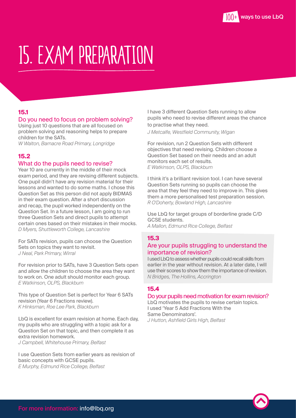### <span id="page-16-0"></span>15. EXAM PREPARATION

#### **15.1**

#### Do you need to focus on problem solving?

Using just 10 questions that are all focused on problem solving and reasoning helps to prepare children for the SATs.

*W Walton, Barnacre Road Primary, Longridge* 

#### **15.2**

#### What do the pupils need to revise?

Year 10 are currently in the middle of their mock exam period, and they are revising different subjects. One pupil didn't have any revision material for their lessons and wanted to do some maths. I chose this Question Set as this person did not apply BIDMAS in their exam question. After a short discussion and recap, the pupil worked independently on the Question Set. In a future lesson, I am going to run three Question Sets and direct pupils to attempt certain ones based on their mistakes in their mocks. *D Myers, Shuttleworth College, Lancashire*

For SATs revision, pupils can choose the Question Sets on topics they want to revisit. *J Neal, Park Primary, Wirral*

For revision prior to SATs, have 3 Question Sets open and allow the children to choose the area they want to work on. One adult should monitor each group. *E Watkinson, OLPS, Blackburn*

This type of Question Set is perfect for Year 6 SATs revision (Year 6 Fractions review). *K Hinksman, Roe Lee Park, Blackburn*

LbQ is excellent for exam revision at home. Each day, my pupils who are struggling with a topic ask for a Question Set on that topic, and then complete it as extra revision homework. *J Campbell, Whitehouse Primary, Belfast*

I use Question Sets from earlier years as revision of basic concepts with GCSE pupils. *E Murphy, Edmund Rice College, Belfast*

I have 3 different Question Sets running to allow pupils who need to revise different areas the chance to practise what they need.

*J Metcalfe, Westfield Community, Wigan*

For revision, run 2 Question Sets with different objectives that need revising. Children choose a Question Set based on their needs and an adult monitors each set of results. *E Watkinson, OLPS, Blackburn*

I think it's a brilliant revision tool. I can have several Question Sets running so pupils can choose the area that they feel they need to improve in. This gives them a more personalised test preparation session. *R O'Doherty, Bowland High, Lancashire*

Use LbQ for target groups of borderline grade C/D GCSE students. *A Mallon, Edmund Rice College, Belfast*

#### **15.3**

#### Are your pupils struggling to understand the importance of revision?

I used LbQ to assess whether pupils could recall skills from earlier in the year without revision. At a later date, I will use their scores to show them the importance of revision. *N Bridges, The Hollins, Accrington*

#### **15.4**

#### Do your pupils need motivation for exam revision?

LbQ motivates the pupils to revise certain topics. I used 'Year 5 Add Fractions With the Same Denominators'. *J Hutton, Ashfield Girls High, Belfast*

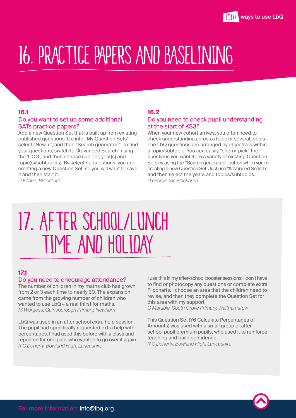### <span id="page-17-0"></span>16. PRACTICE PAPERS AND BASELINING

#### **16.1**

#### Do you want to set up some additional SATs practice papers?

Add a new Question Set that is built up from existing published questions. Go into "My Question Sets", select "New +", and then "Search generated". To find your questions, switch to "Advanced Search" using the 'COG', and then choose subject, year(s) and topic(s)/subtopic(s). By selecting questions, you are creating a new Question Set, so you will want to save it and then start it.

*D Keane, Blackburn*

#### **16.2**

#### Do you need to check pupil understanding at the start of KS3?

When your new cohort arrives, you often need to check understanding across a topic or several topics. The LbQ questions are arranged by objectives within a topic/subtopic. You can easily "cherry-pick" the questions you want from a variety of existing Question Sets by using the "Search generated" button when you're creating a new Question Set. Just use "Advanced Search", and then select the years and topics/subtopics. *D Grosvenor, Blackburn*

### 17. AFTER SCHOOL/LUNCH TIME AND HOLIDAY

#### **17.1**

#### Do you need to encourage attendance?

The number of children in my maths club has grown from 2 or 3 each time to nearly 30. The expansion came from the growing number of children who wanted to use LbQ – a real thirst for maths. *M Worgess, Gainsborough Primary, Newham*

LbQ was used in an after school extra help session. The pupil had specifically requested extra help with percentages. I had used this before with a class and repeated for one pupil who wanted to go over it again. *R O'Doherty, Bowland High, Lancashire*

I use this in my after-school booster sessions. I don't have to find or photocopy any questions or complete extra Flipcharts. I choose an area that the children need to revise, and then they complete the Question Set for this area with my support.

*C Marable, South Grove Primary, Walthamstow*

This Question Set (Y6 Calculate Percentages of Amounts) was used with a small group of after school pupil premium pupils, who used it to reinforce teaching and build confidence. *R O'Doherty, Bowland High, Lancashire*